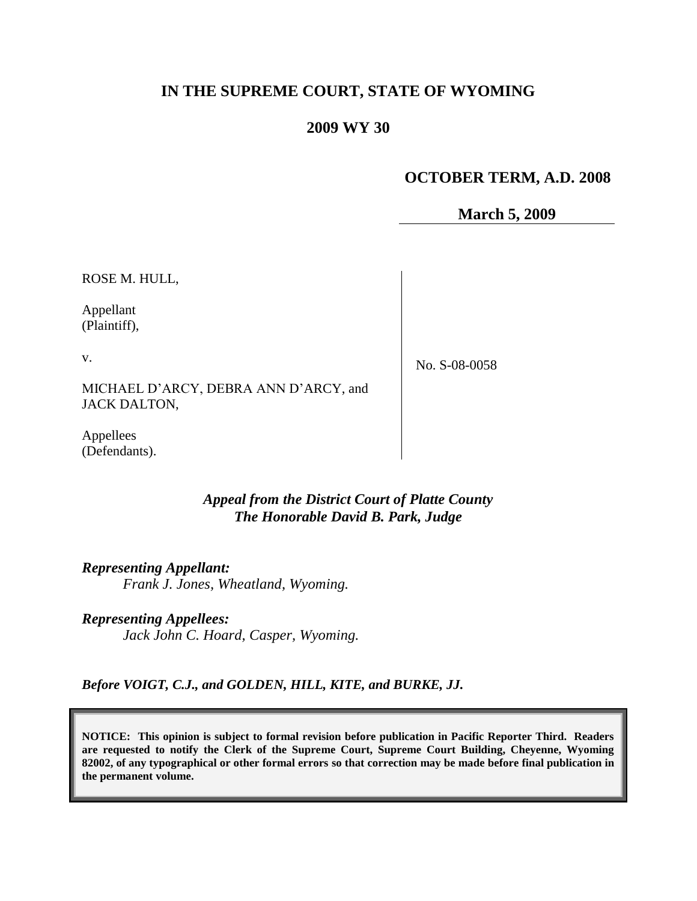# **IN THE SUPREME COURT, STATE OF WYOMING**

## **2009 WY 30**

# **OCTOBER TERM, A.D. 2008**

**March 5, 2009**

ROSE M. HULL,

Appellant (Plaintiff),

v.

No. S-08-0058

MICHAEL D"ARCY, DEBRA ANN D"ARCY, and JACK DALTON,

Appellees (Defendants).

## *Appeal from the District Court of Platte County The Honorable David B. Park, Judge*

*Representing Appellant: Frank J. Jones, Wheatland, Wyoming.*

*Representing Appellees: Jack John C. Hoard, Casper, Wyoming.*

*Before VOIGT, C.J., and GOLDEN, HILL, KITE, and BURKE, JJ.*

**NOTICE: This opinion is subject to formal revision before publication in Pacific Reporter Third. Readers are requested to notify the Clerk of the Supreme Court, Supreme Court Building, Cheyenne, Wyoming 82002, of any typographical or other formal errors so that correction may be made before final publication in the permanent volume.**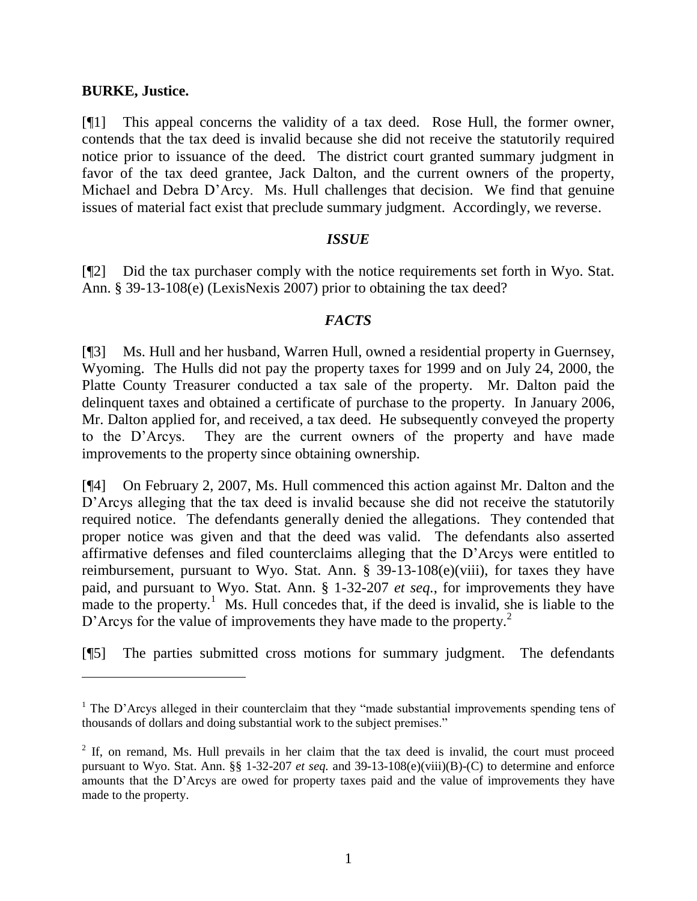#### **BURKE, Justice.**

 $\overline{a}$ 

[¶1] This appeal concerns the validity of a tax deed. Rose Hull, the former owner, contends that the tax deed is invalid because she did not receive the statutorily required notice prior to issuance of the deed. The district court granted summary judgment in favor of the tax deed grantee, Jack Dalton, and the current owners of the property, Michael and Debra D"Arcy. Ms. Hull challenges that decision. We find that genuine issues of material fact exist that preclude summary judgment. Accordingly, we reverse.

#### *ISSUE*

[¶2] Did the tax purchaser comply with the notice requirements set forth in Wyo. Stat. Ann. § 39-13-108(e) (LexisNexis 2007) prior to obtaining the tax deed?

## *FACTS*

[¶3] Ms. Hull and her husband, Warren Hull, owned a residential property in Guernsey, Wyoming. The Hulls did not pay the property taxes for 1999 and on July 24, 2000, the Platte County Treasurer conducted a tax sale of the property. Mr. Dalton paid the delinquent taxes and obtained a certificate of purchase to the property. In January 2006, Mr. Dalton applied for, and received, a tax deed. He subsequently conveyed the property to the D"Arcys. They are the current owners of the property and have made improvements to the property since obtaining ownership.

[¶4] On February 2, 2007, Ms. Hull commenced this action against Mr. Dalton and the D'Arcys alleging that the tax deed is invalid because she did not receive the statutorily required notice. The defendants generally denied the allegations. They contended that proper notice was given and that the deed was valid. The defendants also asserted affirmative defenses and filed counterclaims alleging that the D"Arcys were entitled to reimbursement, pursuant to Wyo. Stat. Ann. § 39-13-108(e)(viii), for taxes they have paid, and pursuant to Wyo. Stat. Ann. § 1-32-207 *et seq.*, for improvements they have made to the property.<sup>1</sup> Ms. Hull concedes that, if the deed is invalid, she is liable to the D'Arcys for the value of improvements they have made to the property.<sup>2</sup>

[¶5] The parties submitted cross motions for summary judgment. The defendants

<sup>&</sup>lt;sup>1</sup> The D'Arcys alleged in their counterclaim that they "made substantial improvements spending tens of thousands of dollars and doing substantial work to the subject premises."

 $2$  If, on remand, Ms. Hull prevails in her claim that the tax deed is invalid, the court must proceed pursuant to Wyo. Stat. Ann. §§ 1-32-207 *et seq.* and 39-13-108(e)(viii)(B)-(C) to determine and enforce amounts that the D"Arcys are owed for property taxes paid and the value of improvements they have made to the property.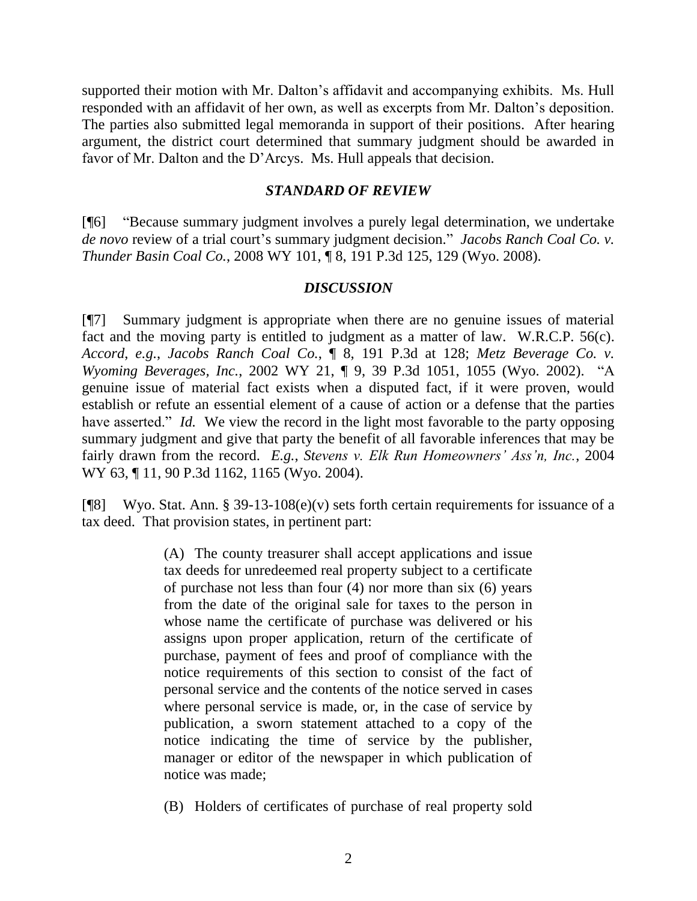supported their motion with Mr. Dalton's affidavit and accompanying exhibits. Ms. Hull responded with an affidavit of her own, as well as excerpts from Mr. Dalton"s deposition. The parties also submitted legal memoranda in support of their positions. After hearing argument, the district court determined that summary judgment should be awarded in favor of Mr. Dalton and the D"Arcys. Ms. Hull appeals that decision.

## *STANDARD OF REVIEW*

[¶6] "Because summary judgment involves a purely legal determination, we undertake de novo review of a trial court's summary judgment decision." Jacobs Ranch Coal Co. v. *Thunder Basin Coal Co.*, 2008 WY 101, ¶ 8, 191 P.3d 125, 129 (Wyo. 2008).

# *DISCUSSION*

[¶7] Summary judgment is appropriate when there are no genuine issues of material fact and the moving party is entitled to judgment as a matter of law. W.R.C.P. 56(c). *Accord*, *e.g.*, *Jacobs Ranch Coal Co.*, ¶ 8, 191 P.3d at 128; *Metz Beverage Co. v. Wyoming Beverages, Inc.*, 2002 WY 21, ¶ 9, 39 P.3d 1051, 1055 (Wyo. 2002). "A genuine issue of material fact exists when a disputed fact, if it were proven, would establish or refute an essential element of a cause of action or a defense that the parties have asserted." *Id.* We view the record in the light most favorable to the party opposing summary judgment and give that party the benefit of all favorable inferences that may be fairly drawn from the record. *E.g.*, *Stevens v. Elk Run Homeowners' Ass'n, Inc.*, 2004 WY 63, ¶ 11, 90 P.3d 1162, 1165 (Wyo. 2004).

[¶8] Wyo. Stat. Ann. § 39-13-108(e)(v) sets forth certain requirements for issuance of a tax deed. That provision states, in pertinent part:

> (A) The county treasurer shall accept applications and issue tax deeds for unredeemed real property subject to a certificate of purchase not less than four (4) nor more than six (6) years from the date of the original sale for taxes to the person in whose name the certificate of purchase was delivered or his assigns upon proper application, return of the certificate of purchase, payment of fees and proof of compliance with the notice requirements of this section to consist of the fact of personal service and the contents of the notice served in cases where personal service is made, or, in the case of service by publication, a sworn statement attached to a copy of the notice indicating the time of service by the publisher, manager or editor of the newspaper in which publication of notice was made;

> (B) Holders of certificates of purchase of real property sold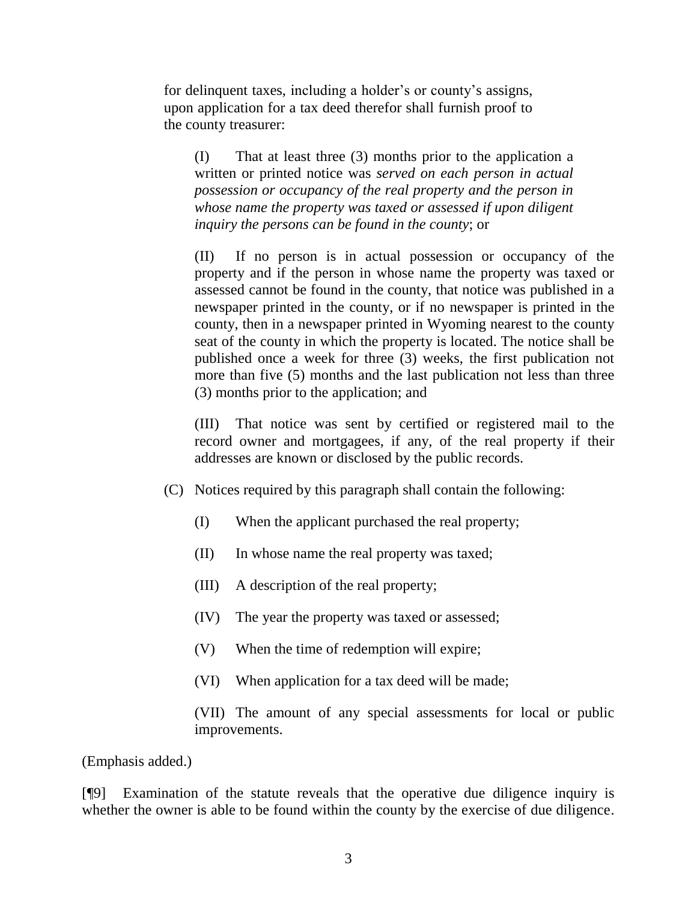for delinquent taxes, including a holder's or county's assigns, upon application for a tax deed therefor shall furnish proof to the county treasurer:

(I) That at least three (3) months prior to the application a written or printed notice was *served on each person in actual possession or occupancy of the real property and the person in whose name the property was taxed or assessed if upon diligent inquiry the persons can be found in the county*; or

(II) If no person is in actual possession or occupancy of the property and if the person in whose name the property was taxed or assessed cannot be found in the county, that notice was published in a newspaper printed in the county, or if no newspaper is printed in the county, then in a newspaper printed in Wyoming nearest to the county seat of the county in which the property is located. The notice shall be published once a week for three (3) weeks, the first publication not more than five (5) months and the last publication not less than three (3) months prior to the application; and

(III) That notice was sent by certified or registered mail to the record owner and mortgagees, if any, of the real property if their addresses are known or disclosed by the public records.

- (C) Notices required by this paragraph shall contain the following:
	- (I) When the applicant purchased the real property;
	- (II) In whose name the real property was taxed;
	- (III) A description of the real property;
	- (IV) The year the property was taxed or assessed;
	- (V) When the time of redemption will expire;
	- (VI) When application for a tax deed will be made;

(VII) The amount of any special assessments for local or public improvements.

(Emphasis added.)

[¶9] Examination of the statute reveals that the operative due diligence inquiry is whether the owner is able to be found within the county by the exercise of due diligence.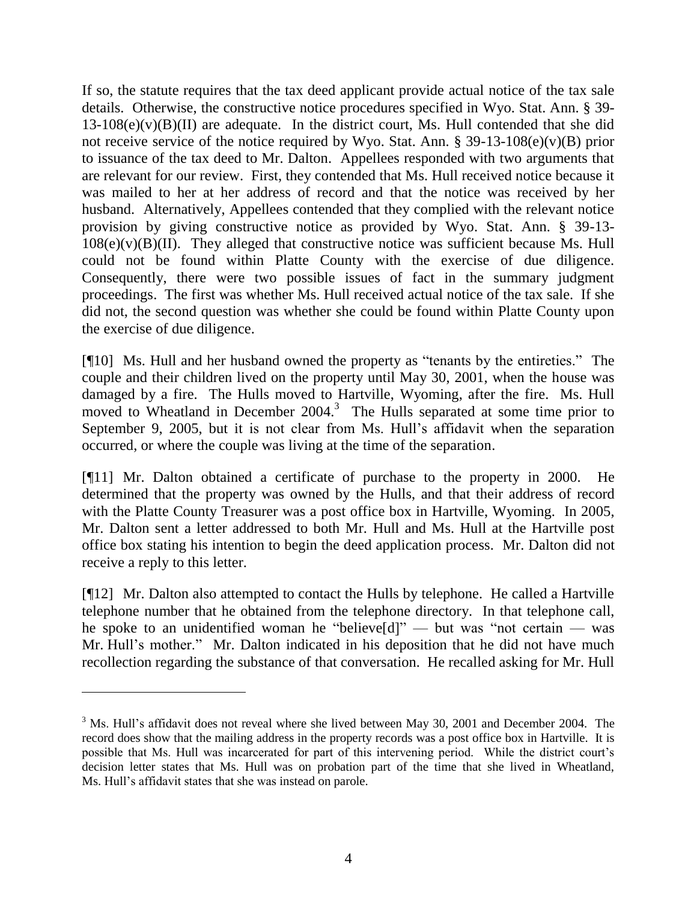If so, the statute requires that the tax deed applicant provide actual notice of the tax sale details. Otherwise, the constructive notice procedures specified in Wyo. Stat. Ann. § 39-  $13-108(e)(v)(B)(II)$  are adequate. In the district court, Ms. Hull contended that she did not receive service of the notice required by Wyo. Stat. Ann. § 39-13-108(e)(v)(B) prior to issuance of the tax deed to Mr. Dalton. Appellees responded with two arguments that are relevant for our review. First, they contended that Ms. Hull received notice because it was mailed to her at her address of record and that the notice was received by her husband. Alternatively, Appellees contended that they complied with the relevant notice provision by giving constructive notice as provided by Wyo. Stat. Ann. § 39-13-  $108(e)(v)(B)(II)$ . They alleged that constructive notice was sufficient because Ms. Hull could not be found within Platte County with the exercise of due diligence. Consequently, there were two possible issues of fact in the summary judgment proceedings. The first was whether Ms. Hull received actual notice of the tax sale. If she did not, the second question was whether she could be found within Platte County upon the exercise of due diligence.

[¶10] Ms. Hull and her husband owned the property as "tenants by the entireties." The couple and their children lived on the property until May 30, 2001, when the house was damaged by a fire. The Hulls moved to Hartville, Wyoming, after the fire. Ms. Hull moved to Wheatland in December 2004.<sup>3</sup> The Hulls separated at some time prior to September 9, 2005, but it is not clear from Ms. Hull's affidavit when the separation occurred, or where the couple was living at the time of the separation.

[¶11] Mr. Dalton obtained a certificate of purchase to the property in 2000. He determined that the property was owned by the Hulls, and that their address of record with the Platte County Treasurer was a post office box in Hartville, Wyoming. In 2005, Mr. Dalton sent a letter addressed to both Mr. Hull and Ms. Hull at the Hartville post office box stating his intention to begin the deed application process. Mr. Dalton did not receive a reply to this letter.

[¶12] Mr. Dalton also attempted to contact the Hulls by telephone. He called a Hartville telephone number that he obtained from the telephone directory. In that telephone call, he spoke to an unidentified woman he "believe[d]" — but was "not certain — was Mr. Hull's mother." Mr. Dalton indicated in his deposition that he did not have much recollection regarding the substance of that conversation. He recalled asking for Mr. Hull

 $3$  Ms. Hull's affidavit does not reveal where she lived between May 30, 2001 and December 2004. The record does show that the mailing address in the property records was a post office box in Hartville. It is possible that Ms. Hull was incarcerated for part of this intervening period. While the district court"s decision letter states that Ms. Hull was on probation part of the time that she lived in Wheatland, Ms. Hull's affidavit states that she was instead on parole.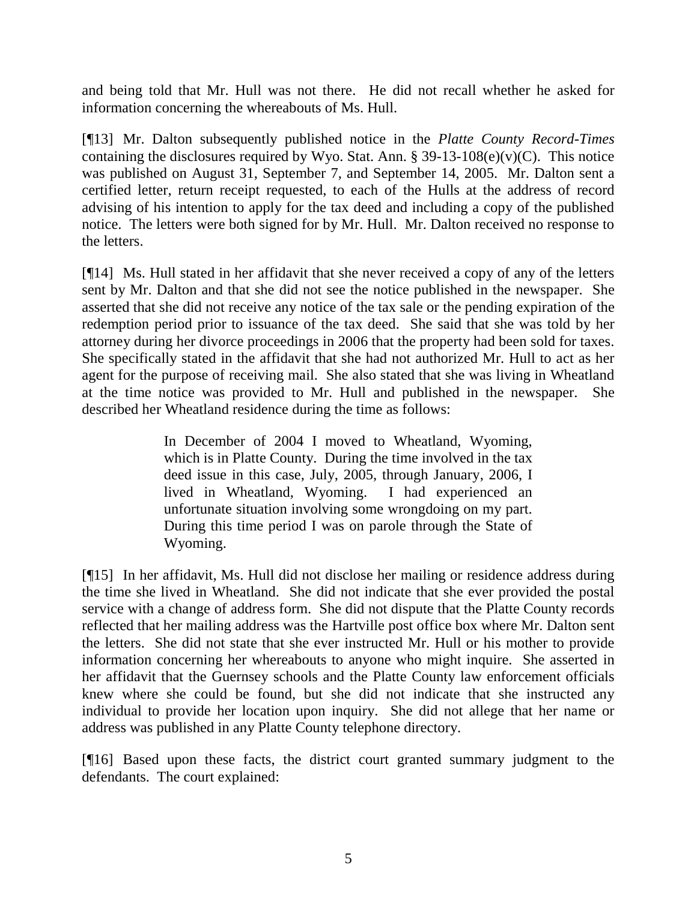and being told that Mr. Hull was not there. He did not recall whether he asked for information concerning the whereabouts of Ms. Hull.

[¶13] Mr. Dalton subsequently published notice in the *Platte County Record-Times* containing the disclosures required by Wyo. Stat. Ann.  $\S 39-13-108(e)(v)(C)$ . This notice was published on August 31, September 7, and September 14, 2005. Mr. Dalton sent a certified letter, return receipt requested, to each of the Hulls at the address of record advising of his intention to apply for the tax deed and including a copy of the published notice. The letters were both signed for by Mr. Hull. Mr. Dalton received no response to the letters.

[¶14] Ms. Hull stated in her affidavit that she never received a copy of any of the letters sent by Mr. Dalton and that she did not see the notice published in the newspaper. She asserted that she did not receive any notice of the tax sale or the pending expiration of the redemption period prior to issuance of the tax deed. She said that she was told by her attorney during her divorce proceedings in 2006 that the property had been sold for taxes. She specifically stated in the affidavit that she had not authorized Mr. Hull to act as her agent for the purpose of receiving mail. She also stated that she was living in Wheatland at the time notice was provided to Mr. Hull and published in the newspaper. She described her Wheatland residence during the time as follows:

> In December of 2004 I moved to Wheatland, Wyoming, which is in Platte County. During the time involved in the tax deed issue in this case, July, 2005, through January, 2006, I lived in Wheatland, Wyoming. I had experienced an unfortunate situation involving some wrongdoing on my part. During this time period I was on parole through the State of Wyoming.

[¶15] In her affidavit, Ms. Hull did not disclose her mailing or residence address during the time she lived in Wheatland. She did not indicate that she ever provided the postal service with a change of address form. She did not dispute that the Platte County records reflected that her mailing address was the Hartville post office box where Mr. Dalton sent the letters. She did not state that she ever instructed Mr. Hull or his mother to provide information concerning her whereabouts to anyone who might inquire. She asserted in her affidavit that the Guernsey schools and the Platte County law enforcement officials knew where she could be found, but she did not indicate that she instructed any individual to provide her location upon inquiry. She did not allege that her name or address was published in any Platte County telephone directory.

[¶16] Based upon these facts, the district court granted summary judgment to the defendants. The court explained: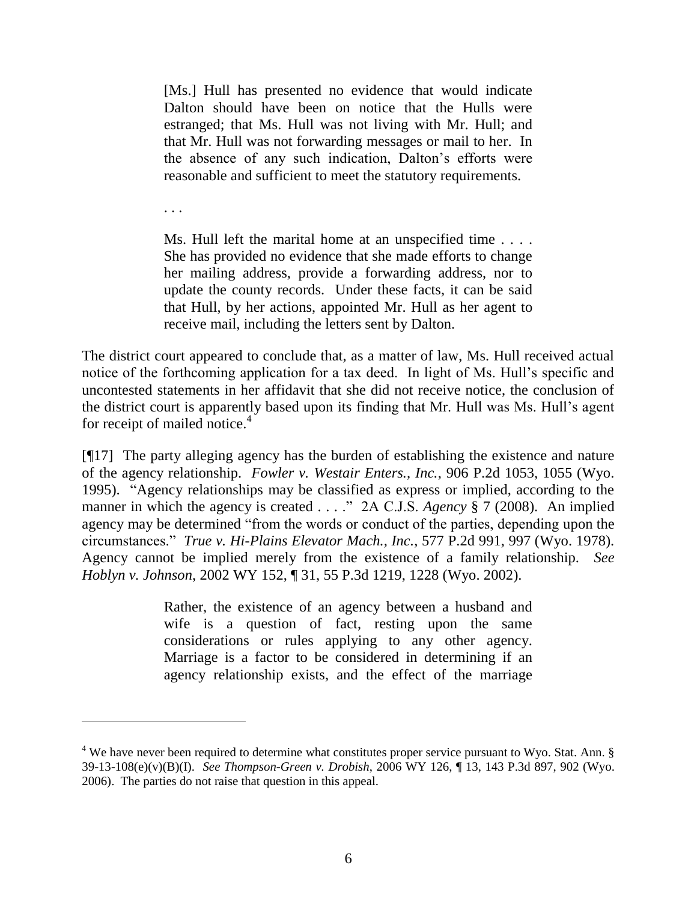[Ms.] Hull has presented no evidence that would indicate Dalton should have been on notice that the Hulls were estranged; that Ms. Hull was not living with Mr. Hull; and that Mr. Hull was not forwarding messages or mail to her. In the absence of any such indication, Dalton"s efforts were reasonable and sufficient to meet the statutory requirements.

. . .

 $\overline{a}$ 

Ms. Hull left the marital home at an unspecified time . . . . She has provided no evidence that she made efforts to change her mailing address, provide a forwarding address, nor to update the county records. Under these facts, it can be said that Hull, by her actions, appointed Mr. Hull as her agent to receive mail, including the letters sent by Dalton.

The district court appeared to conclude that, as a matter of law, Ms. Hull received actual notice of the forthcoming application for a tax deed. In light of Ms. Hull's specific and uncontested statements in her affidavit that she did not receive notice, the conclusion of the district court is apparently based upon its finding that Mr. Hull was Ms. Hull"s agent for receipt of mailed notice. $4$ 

[¶17] The party alleging agency has the burden of establishing the existence and nature of the agency relationship. *Fowler v. Westair Enters., Inc.*, 906 P.2d 1053, 1055 (Wyo. 1995). "Agency relationships may be classified as express or implied, according to the manner in which the agency is created . . . ." 2A C.J.S. *Agency* § 7 (2008). An implied agency may be determined "from the words or conduct of the parties, depending upon the circumstances." *True v. Hi-Plains Elevator Mach., Inc.*, 577 P.2d 991, 997 (Wyo. 1978). Agency cannot be implied merely from the existence of a family relationship. *See Hoblyn v. Johnson*, 2002 WY 152, ¶ 31, 55 P.3d 1219, 1228 (Wyo. 2002).

> Rather, the existence of an agency between a husband and wife is a question of fact, resting upon the same considerations or rules applying to any other agency. Marriage is a factor to be considered in determining if an agency relationship exists, and the effect of the marriage

 $4$  We have never been required to determine what constitutes proper service pursuant to Wyo. Stat. Ann.  $\S$ 39-13-108(e)(v)(B)(I). *See Thompson-Green v. Drobish*, 2006 WY 126, ¶ 13, 143 P.3d 897, 902 (Wyo. 2006). The parties do not raise that question in this appeal.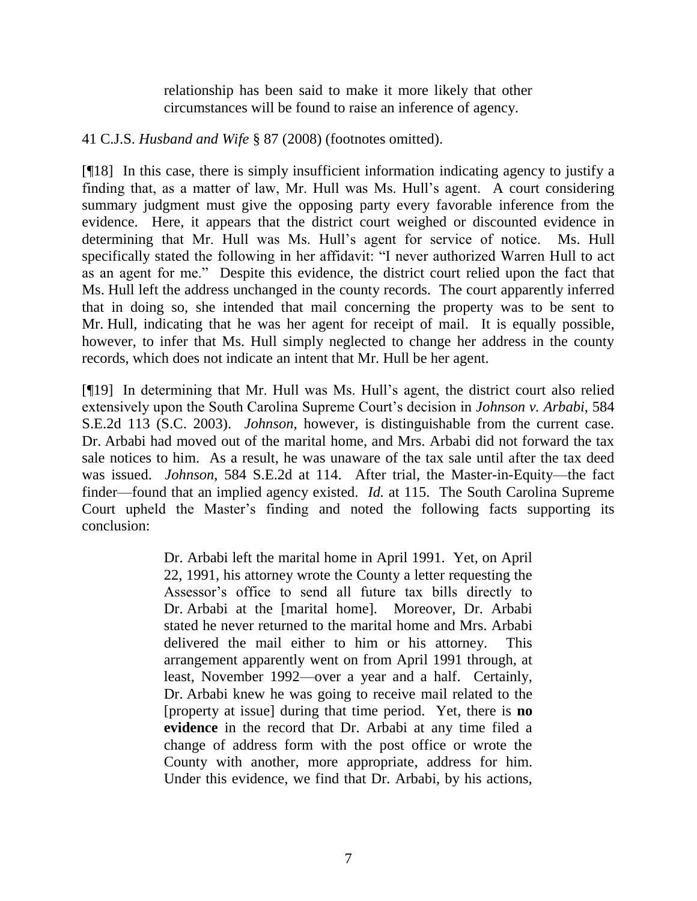relationship has been said to make it more likely that other circumstances will be found to raise an inference of agency.

41 C.J.S. *Husband and Wife* § 87 (2008) (footnotes omitted).

[¶18] In this case, there is simply insufficient information indicating agency to justify a finding that, as a matter of law, Mr. Hull was Ms. Hull"s agent. A court considering summary judgment must give the opposing party every favorable inference from the evidence. Here, it appears that the district court weighed or discounted evidence in determining that Mr. Hull was Ms. Hull"s agent for service of notice. Ms. Hull specifically stated the following in her affidavit: "I never authorized Warren Hull to act as an agent for me." Despite this evidence, the district court relied upon the fact that Ms. Hull left the address unchanged in the county records. The court apparently inferred that in doing so, she intended that mail concerning the property was to be sent to Mr. Hull, indicating that he was her agent for receipt of mail. It is equally possible, however, to infer that Ms. Hull simply neglected to change her address in the county records, which does not indicate an intent that Mr. Hull be her agent.

[¶19] In determining that Mr. Hull was Ms. Hull"s agent, the district court also relied extensively upon the South Carolina Supreme Court's decision in *Johnson v. Arbabi*, 584 S.E.2d 113 (S.C. 2003). *Johnson*, however, is distinguishable from the current case. Dr. Arbabi had moved out of the marital home, and Mrs. Arbabi did not forward the tax sale notices to him. As a result, he was unaware of the tax sale until after the tax deed was issued. *Johnson*, 584 S.E.2d at 114. After trial, the Master-in-Equity—the fact finder—found that an implied agency existed. *Id.* at 115. The South Carolina Supreme Court upheld the Master"s finding and noted the following facts supporting its conclusion:

> Dr. Arbabi left the marital home in April 1991. Yet, on April 22, 1991, his attorney wrote the County a letter requesting the Assessor"s office to send all future tax bills directly to Dr. Arbabi at the [marital home]. Moreover, Dr. Arbabi stated he never returned to the marital home and Mrs. Arbabi delivered the mail either to him or his attorney. This arrangement apparently went on from April 1991 through, at least, November 1992—over a year and a half. Certainly, Dr. Arbabi knew he was going to receive mail related to the [property at issue] during that time period. Yet, there is **no evidence** in the record that Dr. Arbabi at any time filed a change of address form with the post office or wrote the County with another, more appropriate, address for him. Under this evidence, we find that Dr. Arbabi, by his actions,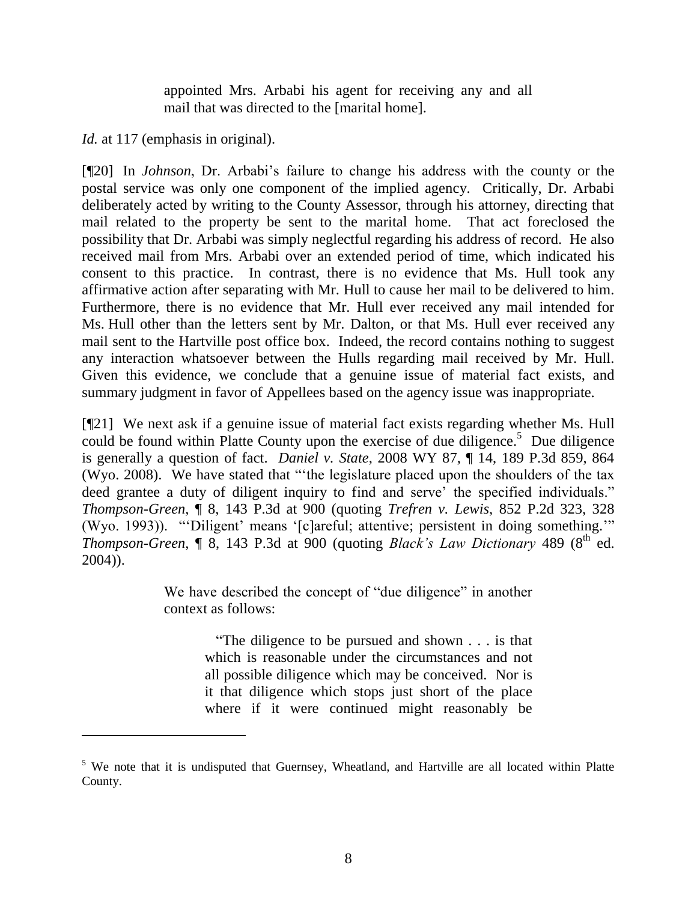appointed Mrs. Arbabi his agent for receiving any and all mail that was directed to the [marital home].

*Id.* at 117 (emphasis in original).

[¶20] In *Johnson*, Dr. Arbabi's failure to change his address with the county or the postal service was only one component of the implied agency. Critically, Dr. Arbabi deliberately acted by writing to the County Assessor, through his attorney, directing that mail related to the property be sent to the marital home. That act foreclosed the possibility that Dr. Arbabi was simply neglectful regarding his address of record. He also received mail from Mrs. Arbabi over an extended period of time, which indicated his consent to this practice. In contrast, there is no evidence that Ms. Hull took any affirmative action after separating with Mr. Hull to cause her mail to be delivered to him. Furthermore, there is no evidence that Mr. Hull ever received any mail intended for Ms. Hull other than the letters sent by Mr. Dalton, or that Ms. Hull ever received any mail sent to the Hartville post office box. Indeed, the record contains nothing to suggest any interaction whatsoever between the Hulls regarding mail received by Mr. Hull. Given this evidence, we conclude that a genuine issue of material fact exists, and summary judgment in favor of Appellees based on the agency issue was inappropriate.

[¶21] We next ask if a genuine issue of material fact exists regarding whether Ms. Hull could be found within Platte County upon the exercise of due diligence.<sup>5</sup> Due diligence is generally a question of fact. *Daniel v. State*, 2008 WY 87, ¶ 14, 189 P.3d 859, 864 (Wyo. 2008). We have stated that ""the legislature placed upon the shoulders of the tax deed grantee a duty of diligent inquiry to find and serve' the specified individuals." *Thompson-Green*, ¶ 8, 143 P.3d at 900 (quoting *Trefren v. Lewis*, 852 P.2d 323, 328 (Wyo. 1993)). ""Diligent" means "[c]areful; attentive; persistent in doing something."" *Thompson-Green*, *[8, 143 P.3d at 900 (quoting <i>Black's Law Dictionary* 489 (8<sup>th ed.)</sup> 2004)).

> We have described the concept of "due diligence" in another context as follows:

> > "The diligence to be pursued and shown . . . is that which is reasonable under the circumstances and not all possible diligence which may be conceived. Nor is it that diligence which stops just short of the place where if it were continued might reasonably be

<sup>&</sup>lt;sup>5</sup> We note that it is undisputed that Guernsey, Wheatland, and Hartville are all located within Platte County.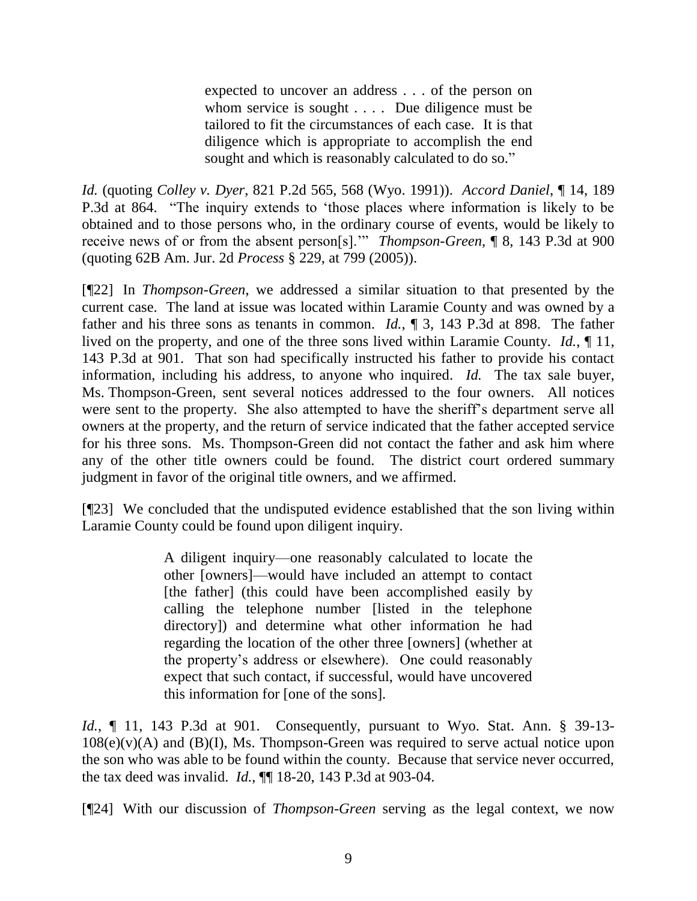expected to uncover an address . . . of the person on whom service is sought . . . . Due diligence must be tailored to fit the circumstances of each case. It is that diligence which is appropriate to accomplish the end sought and which is reasonably calculated to do so."

*Id.* (quoting *Colley v. Dyer*, 821 P.2d 565, 568 (Wyo. 1991)). *Accord Daniel*, ¶ 14, 189 P.3d at 864. "The inquiry extends to "those places where information is likely to be obtained and to those persons who, in the ordinary course of events, would be likely to receive news of or from the absent person[s]."" *Thompson-Green*, ¶ 8, 143 P.3d at 900 (quoting 62B Am. Jur. 2d *Process* § 229, at 799 (2005)).

[¶22] In *Thompson-Green*, we addressed a similar situation to that presented by the current case. The land at issue was located within Laramie County and was owned by a father and his three sons as tenants in common. *Id.*, ¶ 3, 143 P.3d at 898. The father lived on the property, and one of the three sons lived within Laramie County. *Id.*, ¶ 11, 143 P.3d at 901. That son had specifically instructed his father to provide his contact information, including his address, to anyone who inquired. *Id.* The tax sale buyer, Ms. Thompson-Green, sent several notices addressed to the four owners. All notices were sent to the property. She also attempted to have the sheriff's department serve all owners at the property, and the return of service indicated that the father accepted service for his three sons. Ms. Thompson-Green did not contact the father and ask him where any of the other title owners could be found. The district court ordered summary judgment in favor of the original title owners, and we affirmed.

[¶23] We concluded that the undisputed evidence established that the son living within Laramie County could be found upon diligent inquiry.

> A diligent inquiry—one reasonably calculated to locate the other [owners]—would have included an attempt to contact [the father] (this could have been accomplished easily by calling the telephone number [listed in the telephone directory]) and determine what other information he had regarding the location of the other three [owners] (whether at the property"s address or elsewhere). One could reasonably expect that such contact, if successful, would have uncovered this information for [one of the sons].

*Id.*, ¶ 11, 143 P.3d at 901. Consequently, pursuant to Wyo. Stat. Ann. § 39-13- $108(e)(v)(A)$  and  $(B)(I)$ , Ms. Thompson-Green was required to serve actual notice upon the son who was able to be found within the county. Because that service never occurred, the tax deed was invalid. *Id.*, ¶¶ 18-20, 143 P.3d at 903-04.

[¶24] With our discussion of *Thompson-Green* serving as the legal context, we now